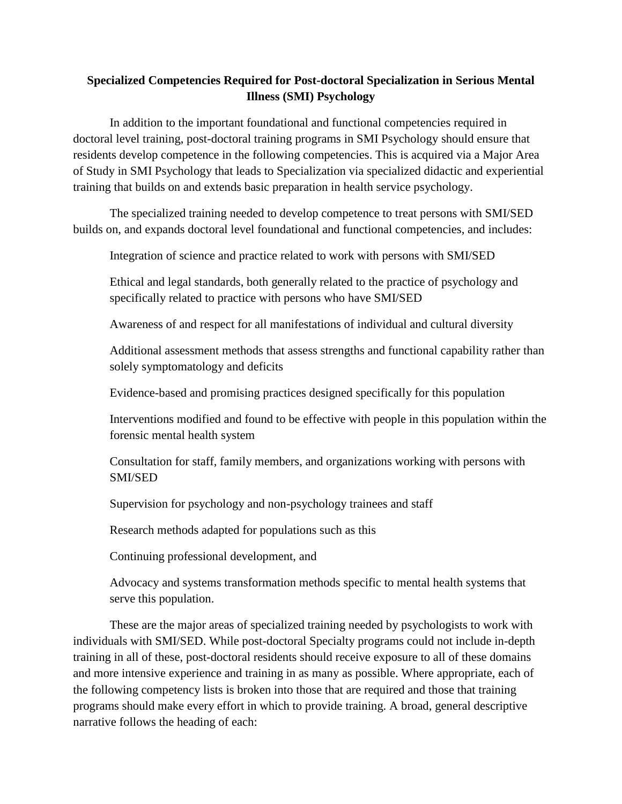### **Specialized Competencies Required for Post-doctoral Specialization in Serious Mental Illness (SMI) Psychology**

In addition to the important foundational and functional competencies required in doctoral level training, post-doctoral training programs in SMI Psychology should ensure that residents develop competence in the following competencies. This is acquired via a Major Area of Study in SMI Psychology that leads to Specialization via specialized didactic and experiential training that builds on and extends basic preparation in health service psychology.

The specialized training needed to develop competence to treat persons with SMI/SED builds on, and expands doctoral level foundational and functional competencies, and includes:

Integration of science and practice related to work with persons with SMI/SED

Ethical and legal standards, both generally related to the practice of psychology and specifically related to practice with persons who have SMI/SED

Awareness of and respect for all manifestations of individual and cultural diversity

Additional assessment methods that assess strengths and functional capability rather than solely symptomatology and deficits

Evidence-based and promising practices designed specifically for this population

Interventions modified and found to be effective with people in this population within the forensic mental health system

Consultation for staff, family members, and organizations working with persons with SMI/SED

Supervision for psychology and non-psychology trainees and staff

Research methods adapted for populations such as this

Continuing professional development, and

Advocacy and systems transformation methods specific to mental health systems that serve this population.

These are the major areas of specialized training needed by psychologists to work with individuals with SMI/SED. While post-doctoral Specialty programs could not include in-depth training in all of these, post-doctoral residents should receive exposure to all of these domains and more intensive experience and training in as many as possible. Where appropriate, each of the following competency lists is broken into those that are required and those that training programs should make every effort in which to provide training. A broad, general descriptive narrative follows the heading of each: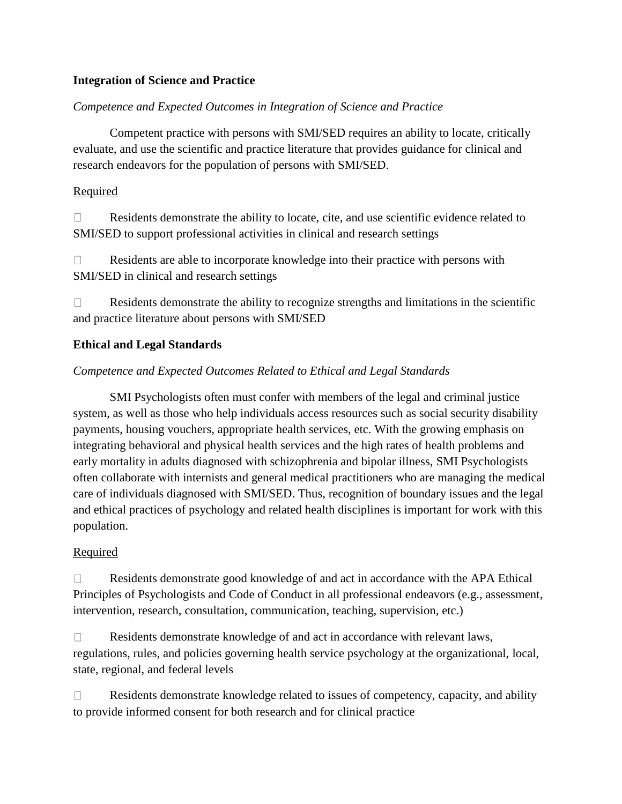### **Integration of Science and Practice**

#### *Competence and Expected Outcomes in Integration of Science and Practice*

Competent practice with persons with SMI/SED requires an ability to locate, critically evaluate, and use the scientific and practice literature that provides guidance for clinical and research endeavors for the population of persons with SMI/SED.

#### Required

 $\Box$ Residents demonstrate the ability to locate, cite, and use scientific evidence related to SMI/SED to support professional activities in clinical and research settings

 $\Box$ Residents are able to incorporate knowledge into their practice with persons with SMI/SED in clinical and research settings

Residents demonstrate the ability to recognize strengths and limitations in the scientific  $\Box$ and practice literature about persons with SMI/SED

#### **Ethical and Legal Standards**

### *Competence and Expected Outcomes Related to Ethical and Legal Standards*

SMI Psychologists often must confer with members of the legal and criminal justice system, as well as those who help individuals access resources such as social security disability payments, housing vouchers, appropriate health services, etc. With the growing emphasis on integrating behavioral and physical health services and the high rates of health problems and early mortality in adults diagnosed with schizophrenia and bipolar illness, SMI Psychologists often collaborate with internists and general medical practitioners who are managing the medical care of individuals diagnosed with SMI/SED. Thus, recognition of boundary issues and the legal and ethical practices of psychology and related health disciplines is important for work with this population.

#### **Required**

 $\Box$ Residents demonstrate good knowledge of and act in accordance with the APA Ethical Principles of Psychologists and Code of Conduct in all professional endeavors (e.g., assessment, intervention, research, consultation, communication, teaching, supervision, etc.)

Residents demonstrate knowledge of and act in accordance with relevant laws,  $\Box$ regulations, rules, and policies governing health service psychology at the organizational, local, state, regional, and federal levels

 $\Box$ Residents demonstrate knowledge related to issues of competency, capacity, and ability to provide informed consent for both research and for clinical practice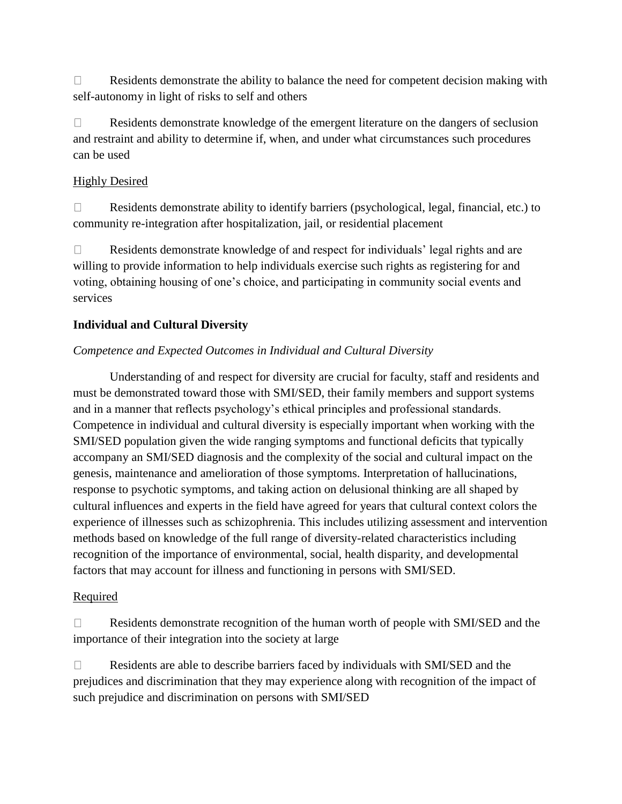$\Box$ Residents demonstrate the ability to balance the need for competent decision making with self-autonomy in light of risks to self and others

 $\Box$ Residents demonstrate knowledge of the emergent literature on the dangers of seclusion and restraint and ability to determine if, when, and under what circumstances such procedures can be used

### Highly Desired

Residents demonstrate ability to identify barriers (psychological, legal, financial, etc.) to  $\Box$ community re-integration after hospitalization, jail, or residential placement

Residents demonstrate knowledge of and respect for individuals' legal rights and are  $\Box$ willing to provide information to help individuals exercise such rights as registering for and voting, obtaining housing of one's choice, and participating in community social events and services

## **Individual and Cultural Diversity**

## *Competence and Expected Outcomes in Individual and Cultural Diversity*

Understanding of and respect for diversity are crucial for faculty, staff and residents and must be demonstrated toward those with SMI/SED, their family members and support systems and in a manner that reflects psychology's ethical principles and professional standards. Competence in individual and cultural diversity is especially important when working with the SMI/SED population given the wide ranging symptoms and functional deficits that typically accompany an SMI/SED diagnosis and the complexity of the social and cultural impact on the genesis, maintenance and amelioration of those symptoms. Interpretation of hallucinations, response to psychotic symptoms, and taking action on delusional thinking are all shaped by cultural influences and experts in the field have agreed for years that cultural context colors the experience of illnesses such as schizophrenia. This includes utilizing assessment and intervention methods based on knowledge of the full range of diversity-related characteristics including recognition of the importance of environmental, social, health disparity, and developmental factors that may account for illness and functioning in persons with SMI/SED.

### Required

Residents demonstrate recognition of the human worth of people with SMI/SED and the  $\Box$ importance of their integration into the society at large

 $\Box$ Residents are able to describe barriers faced by individuals with SMI/SED and the prejudices and discrimination that they may experience along with recognition of the impact of such prejudice and discrimination on persons with SMI/SED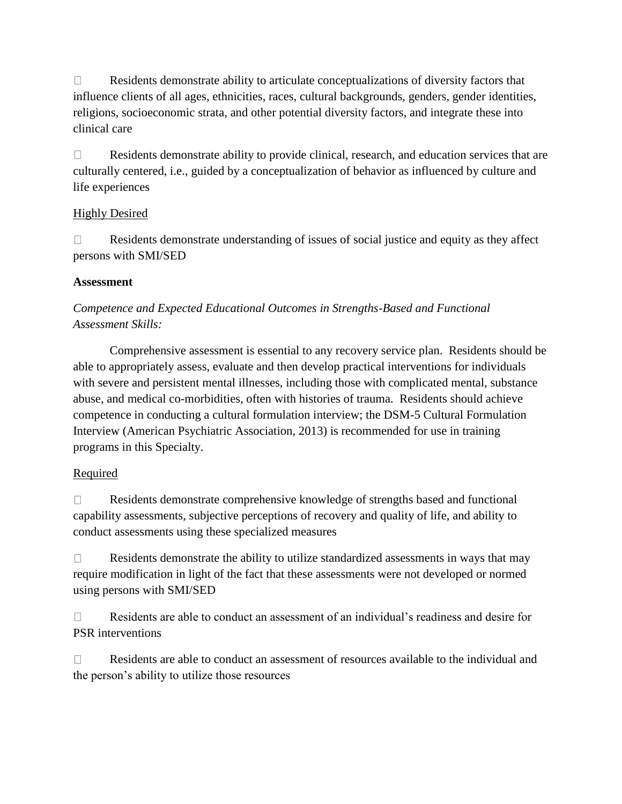$\Box$ Residents demonstrate ability to articulate conceptualizations of diversity factors that influence clients of all ages, ethnicities, races, cultural backgrounds, genders, gender identities, religions, socioeconomic strata, and other potential diversity factors, and integrate these into clinical care

 $\Box$ Residents demonstrate ability to provide clinical, research, and education services that are culturally centered, i.e., guided by a conceptualization of behavior as influenced by culture and life experiences

## Highly Desired

Residents demonstrate understanding of issues of social justice and equity as they affect  $\Box$ persons with SMI/SED

## **Assessment**

## *Competence and Expected Educational Outcomes in Strengths-Based and Functional Assessment Skills:*

Comprehensive assessment is essential to any recovery service plan. Residents should be able to appropriately assess, evaluate and then develop practical interventions for individuals with severe and persistent mental illnesses, including those with complicated mental, substance abuse, and medical co-morbidities, often with histories of trauma. Residents should achieve competence in conducting a cultural formulation interview; the DSM-5 Cultural Formulation Interview (American Psychiatric Association, 2013) is recommended for use in training programs in this Specialty.

## Required

Residents demonstrate comprehensive knowledge of strengths based and functional  $\Box$ capability assessments, subjective perceptions of recovery and quality of life, and ability to conduct assessments using these specialized measures

Residents demonstrate the ability to utilize standardized assessments in ways that may  $\Box$ require modification in light of the fact that these assessments were not developed or normed using persons with SMI/SED

Residents are able to conduct an assessment of an individual's readiness and desire for  $\Box$ PSR interventions

 $\Box$ Residents are able to conduct an assessment of resources available to the individual and the person's ability to utilize those resources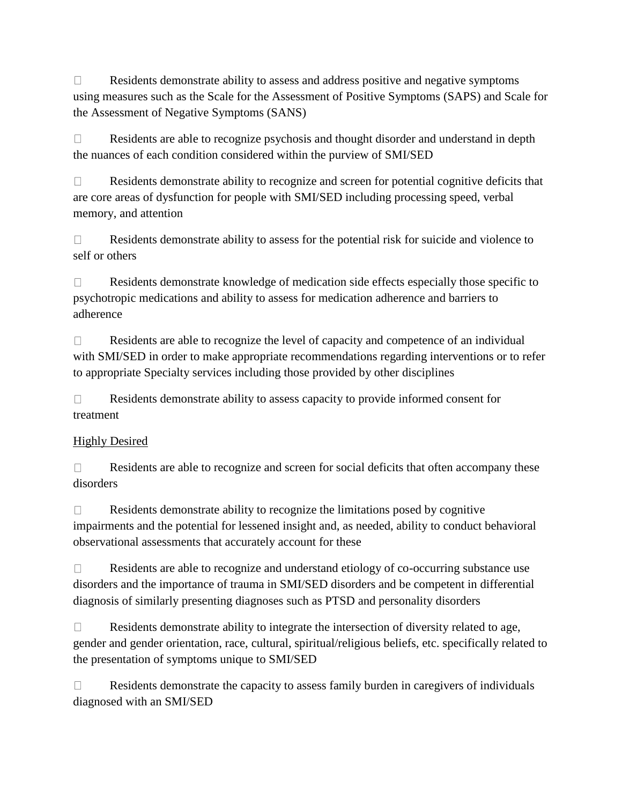$\Box$ Residents demonstrate ability to assess and address positive and negative symptoms using measures such as the Scale for the Assessment of Positive Symptoms (SAPS) and Scale for the Assessment of Negative Symptoms (SANS)

 $\Box$ Residents are able to recognize psychosis and thought disorder and understand in depth the nuances of each condition considered within the purview of SMI/SED

 $\Box$ Residents demonstrate ability to recognize and screen for potential cognitive deficits that are core areas of dysfunction for people with SMI/SED including processing speed, verbal memory, and attention

 $\Box$ Residents demonstrate ability to assess for the potential risk for suicide and violence to self or others

 $\Box$ Residents demonstrate knowledge of medication side effects especially those specific to psychotropic medications and ability to assess for medication adherence and barriers to adherence

Residents are able to recognize the level of capacity and competence of an individual  $\Box$ with SMI/SED in order to make appropriate recommendations regarding interventions or to refer to appropriate Specialty services including those provided by other disciplines

Residents demonstrate ability to assess capacity to provide informed consent for  $\Box$ treatment

## Highly Desired

 $\Box$ Residents are able to recognize and screen for social deficits that often accompany these disorders

Residents demonstrate ability to recognize the limitations posed by cognitive  $\Box$ impairments and the potential for lessened insight and, as needed, ability to conduct behavioral observational assessments that accurately account for these

 $\Box$ Residents are able to recognize and understand etiology of co-occurring substance use disorders and the importance of trauma in SMI/SED disorders and be competent in differential diagnosis of similarly presenting diagnoses such as PTSD and personality disorders

 $\Box$ Residents demonstrate ability to integrate the intersection of diversity related to age, gender and gender orientation, race, cultural, spiritual/religious beliefs, etc. specifically related to the presentation of symptoms unique to SMI/SED

 $\Box$ Residents demonstrate the capacity to assess family burden in caregivers of individuals diagnosed with an SMI/SED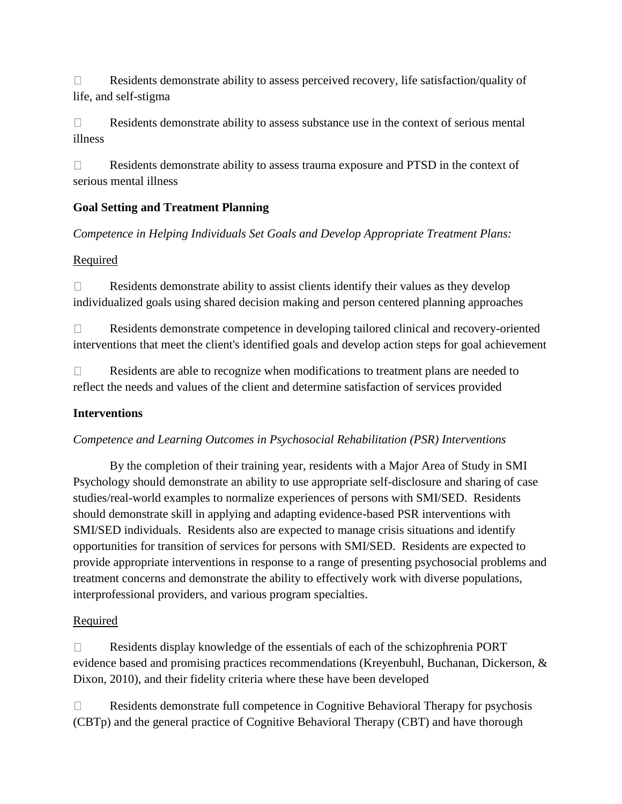$\Box$ Residents demonstrate ability to assess perceived recovery, life satisfaction/quality of life, and self-stigma

 $\Box$ Residents demonstrate ability to assess substance use in the context of serious mental illness

 $\Box$ Residents demonstrate ability to assess trauma exposure and PTSD in the context of serious mental illness

## **Goal Setting and Treatment Planning**

*Competence in Helping Individuals Set Goals and Develop Appropriate Treatment Plans:*

### **Required**

Residents demonstrate ability to assist clients identify their values as they develop  $\Box$ individualized goals using shared decision making and person centered planning approaches

Residents demonstrate competence in developing tailored clinical and recovery-oriented  $\Box$ interventions that meet the client's identified goals and develop action steps for goal achievement

Residents are able to recognize when modifications to treatment plans are needed to  $\Box$ reflect the needs and values of the client and determine satisfaction of services provided

### **Interventions**

### *Competence and Learning Outcomes in Psychosocial Rehabilitation (PSR) Interventions*

By the completion of their training year, residents with a Major Area of Study in SMI Psychology should demonstrate an ability to use appropriate self-disclosure and sharing of case studies/real-world examples to normalize experiences of persons with SMI/SED. Residents should demonstrate skill in applying and adapting evidence-based PSR interventions with SMI/SED individuals. Residents also are expected to manage crisis situations and identify opportunities for transition of services for persons with SMI/SED. Residents are expected to provide appropriate interventions in response to a range of presenting psychosocial problems and treatment concerns and demonstrate the ability to effectively work with diverse populations, interprofessional providers, and various program specialties.

### Required

 $\Box$ Residents display knowledge of the essentials of each of the schizophrenia PORT evidence based and promising practices recommendations (Kreyenbuhl, Buchanan, Dickerson, & Dixon, 2010), and their fidelity criteria where these have been developed

Residents demonstrate full competence in Cognitive Behavioral Therapy for psychosis  $\Box$ (CBTp) and the general practice of Cognitive Behavioral Therapy (CBT) and have thorough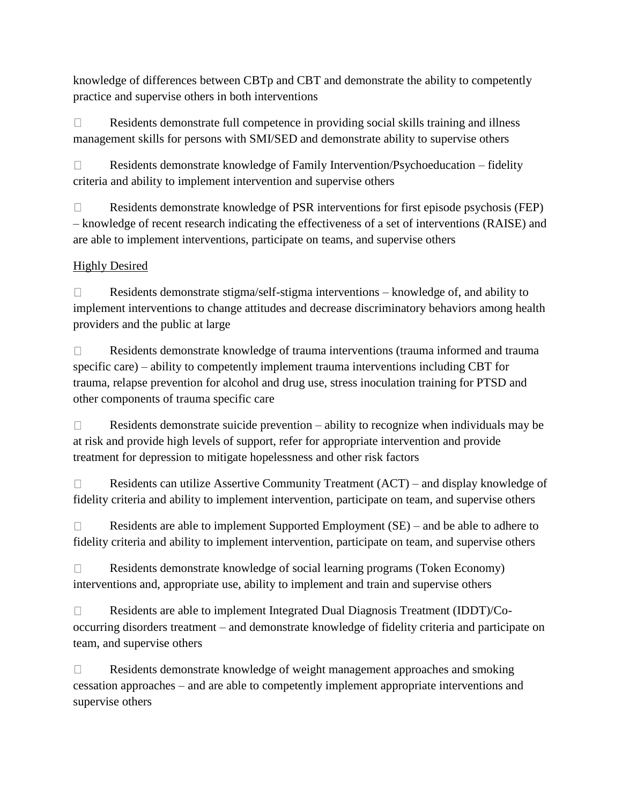knowledge of differences between CBTp and CBT and demonstrate the ability to competently practice and supervise others in both interventions

 $\Box$ Residents demonstrate full competence in providing social skills training and illness management skills for persons with SMI/SED and demonstrate ability to supervise others

Residents demonstrate knowledge of Family Intervention/Psychoeducation – fidelity  $\Box$ criteria and ability to implement intervention and supervise others

Residents demonstrate knowledge of PSR interventions for first episode psychosis (FEP)  $\Box$ – knowledge of recent research indicating the effectiveness of a set of interventions (RAISE) and are able to implement interventions, participate on teams, and supervise others

# Highly Desired

 $\Box$ Residents demonstrate stigma/self-stigma interventions – knowledge of, and ability to implement interventions to change attitudes and decrease discriminatory behaviors among health providers and the public at large

 $\Box$ Residents demonstrate knowledge of trauma interventions (trauma informed and trauma specific care) – ability to competently implement trauma interventions including CBT for trauma, relapse prevention for alcohol and drug use, stress inoculation training for PTSD and other components of trauma specific care

Residents demonstrate suicide prevention – ability to recognize when individuals may be  $\Box$ at risk and provide high levels of support, refer for appropriate intervention and provide treatment for depression to mitigate hopelessness and other risk factors

Residents can utilize Assertive Community Treatment (ACT) – and display knowledge of  $\Box$ fidelity criteria and ability to implement intervention, participate on team, and supervise others

 $\Box$ Residents are able to implement Supported Employment (SE) – and be able to adhere to fidelity criteria and ability to implement intervention, participate on team, and supervise others

 $\Box$ Residents demonstrate knowledge of social learning programs (Token Economy) interventions and, appropriate use, ability to implement and train and supervise others

Residents are able to implement Integrated Dual Diagnosis Treatment (IDDT)/Co- $\Box$ occurring disorders treatment – and demonstrate knowledge of fidelity criteria and participate on team, and supervise others

 $\Box$ Residents demonstrate knowledge of weight management approaches and smoking cessation approaches – and are able to competently implement appropriate interventions and supervise others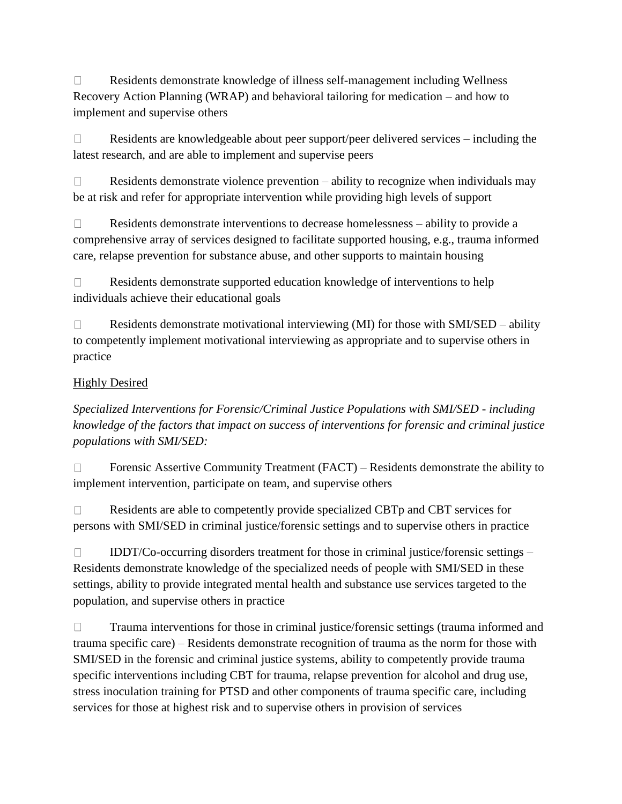$\Box$ Residents demonstrate knowledge of illness self-management including Wellness Recovery Action Planning (WRAP) and behavioral tailoring for medication – and how to implement and supervise others

 $\Box$ Residents are knowledgeable about peer support/peer delivered services – including the latest research, and are able to implement and supervise peers

 $\Box$ Residents demonstrate violence prevention – ability to recognize when individuals may be at risk and refer for appropriate intervention while providing high levels of support

Residents demonstrate interventions to decrease homelessness – ability to provide a  $\Box$ comprehensive array of services designed to facilitate supported housing, e.g., trauma informed care, relapse prevention for substance abuse, and other supports to maintain housing

 $\Box$ Residents demonstrate supported education knowledge of interventions to help individuals achieve their educational goals

 $\Box$ Residents demonstrate motivational interviewing (MI) for those with SMI/SED – ability to competently implement motivational interviewing as appropriate and to supervise others in practice

## **Highly Desired**

*Specialized Interventions for Forensic/Criminal Justice Populations with SMI/SED - including knowledge of the factors that impact on success of interventions for forensic and criminal justice populations with SMI/SED:*

 $\Box$ Forensic Assertive Community Treatment (FACT) – Residents demonstrate the ability to implement intervention, participate on team, and supervise others

Residents are able to competently provide specialized CBTp and CBT services for  $\Box$ persons with SMI/SED in criminal justice/forensic settings and to supervise others in practice

 $\Box$ IDDT/Co-occurring disorders treatment for those in criminal justice/forensic settings – Residents demonstrate knowledge of the specialized needs of people with SMI/SED in these settings, ability to provide integrated mental health and substance use services targeted to the population, and supervise others in practice

 $\Box$ Trauma interventions for those in criminal justice/forensic settings (trauma informed and trauma specific care) – Residents demonstrate recognition of trauma as the norm for those with SMI/SED in the forensic and criminal justice systems, ability to competently provide trauma specific interventions including CBT for trauma, relapse prevention for alcohol and drug use, stress inoculation training for PTSD and other components of trauma specific care, including services for those at highest risk and to supervise others in provision of services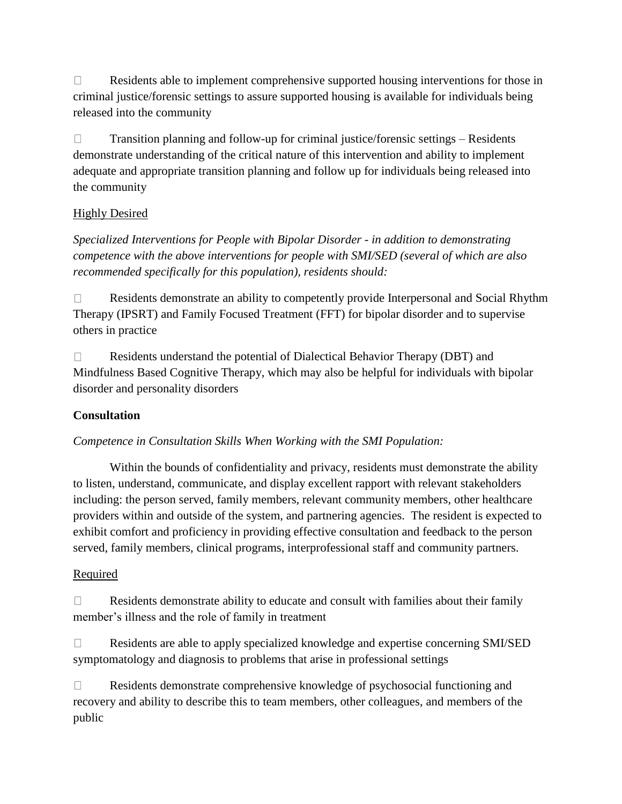$\Box$ Residents able to implement comprehensive supported housing interventions for those in criminal justice/forensic settings to assure supported housing is available for individuals being released into the community

 $\Box$ Transition planning and follow-up for criminal justice/forensic settings – Residents demonstrate understanding of the critical nature of this intervention and ability to implement adequate and appropriate transition planning and follow up for individuals being released into the community

## Highly Desired

*Specialized Interventions for People with Bipolar Disorder - in addition to demonstrating competence with the above interventions for people with SMI/SED (several of which are also recommended specifically for this population), residents should:*

Residents demonstrate an ability to competently provide Interpersonal and Social Rhythm  $\Box$ Therapy (IPSRT) and Family Focused Treatment (FFT) for bipolar disorder and to supervise others in practice

 $\Box$ Residents understand the potential of Dialectical Behavior Therapy (DBT) and Mindfulness Based Cognitive Therapy, which may also be helpful for individuals with bipolar disorder and personality disorders

## **Consultation**

*Competence in Consultation Skills When Working with the SMI Population:*

Within the bounds of confidentiality and privacy, residents must demonstrate the ability to listen, understand, communicate, and display excellent rapport with relevant stakeholders including: the person served, family members, relevant community members, other healthcare providers within and outside of the system, and partnering agencies. The resident is expected to exhibit comfort and proficiency in providing effective consultation and feedback to the person served, family members, clinical programs, interprofessional staff and community partners.

## Required

 $\Box$ Residents demonstrate ability to educate and consult with families about their family member's illness and the role of family in treatment

Residents are able to apply specialized knowledge and expertise concerning SMI/SED  $\Box$ symptomatology and diagnosis to problems that arise in professional settings

 $\Box$ Residents demonstrate comprehensive knowledge of psychosocial functioning and recovery and ability to describe this to team members, other colleagues, and members of the public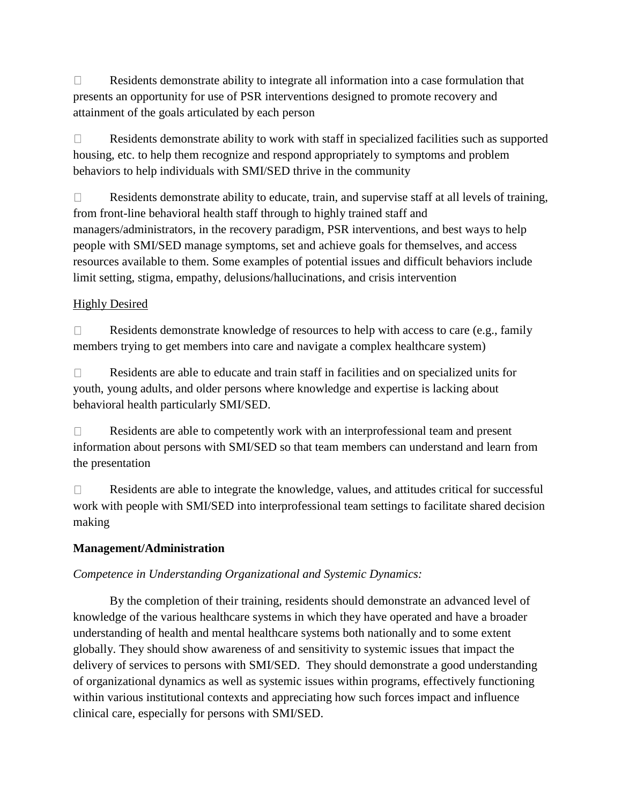$\Box$ Residents demonstrate ability to integrate all information into a case formulation that presents an opportunity for use of PSR interventions designed to promote recovery and attainment of the goals articulated by each person

 $\Box$ Residents demonstrate ability to work with staff in specialized facilities such as supported housing, etc. to help them recognize and respond appropriately to symptoms and problem behaviors to help individuals with SMI/SED thrive in the community

 $\Box$ Residents demonstrate ability to educate, train, and supervise staff at all levels of training, from front-line behavioral health staff through to highly trained staff and managers/administrators, in the recovery paradigm, PSR interventions, and best ways to help people with SMI/SED manage symptoms, set and achieve goals for themselves, and access resources available to them. Some examples of potential issues and difficult behaviors include limit setting, stigma, empathy, delusions/hallucinations, and crisis intervention

## Highly Desired

 $\Box$ Residents demonstrate knowledge of resources to help with access to care (e.g., family members trying to get members into care and navigate a complex healthcare system)

 $\Box$ Residents are able to educate and train staff in facilities and on specialized units for youth, young adults, and older persons where knowledge and expertise is lacking about behavioral health particularly SMI/SED.

Residents are able to competently work with an interprofessional team and present  $\Box$ information about persons with SMI/SED so that team members can understand and learn from the presentation

 $\Box$ Residents are able to integrate the knowledge, values, and attitudes critical for successful work with people with SMI/SED into interprofessional team settings to facilitate shared decision making

### **Management/Administration**

### *Competence in Understanding Organizational and Systemic Dynamics:*

By the completion of their training, residents should demonstrate an advanced level of knowledge of the various healthcare systems in which they have operated and have a broader understanding of health and mental healthcare systems both nationally and to some extent globally. They should show awareness of and sensitivity to systemic issues that impact the delivery of services to persons with SMI/SED. They should demonstrate a good understanding of organizational dynamics as well as systemic issues within programs, effectively functioning within various institutional contexts and appreciating how such forces impact and influence clinical care, especially for persons with SMI/SED.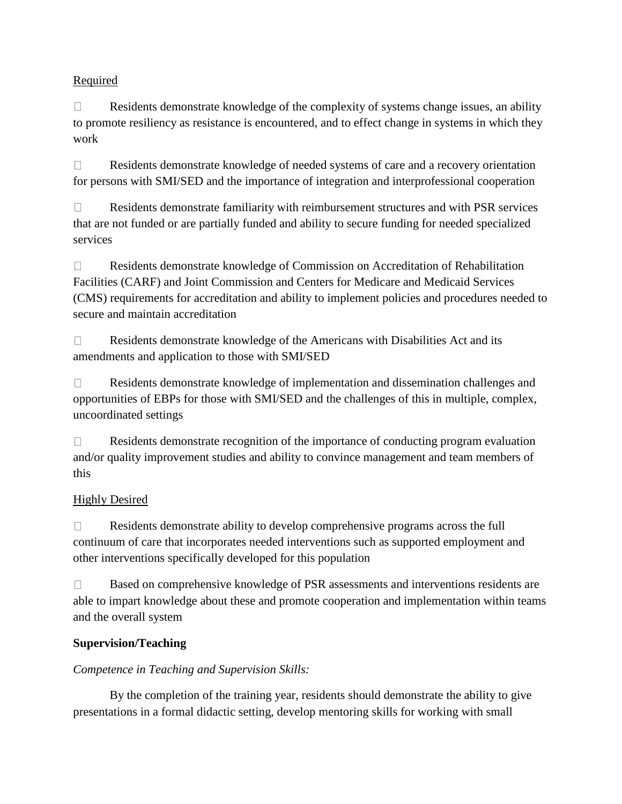## **Required**

 $\Box$ Residents demonstrate knowledge of the complexity of systems change issues, an ability to promote resiliency as resistance is encountered, and to effect change in systems in which they work

 $\Box$ Residents demonstrate knowledge of needed systems of care and a recovery orientation for persons with SMI/SED and the importance of integration and interprofessional cooperation

Residents demonstrate familiarity with reimbursement structures and with PSR services  $\Box$ that are not funded or are partially funded and ability to secure funding for needed specialized services

 $\Box$ Residents demonstrate knowledge of Commission on Accreditation of Rehabilitation Facilities (CARF) and Joint Commission and Centers for Medicare and Medicaid Services (CMS) requirements for accreditation and ability to implement policies and procedures needed to secure and maintain accreditation

Residents demonstrate knowledge of the Americans with Disabilities Act and its  $\Box$ amendments and application to those with SMI/SED

 $\Box$ Residents demonstrate knowledge of implementation and dissemination challenges and opportunities of EBPs for those with SMI/SED and the challenges of this in multiple, complex, uncoordinated settings

Residents demonstrate recognition of the importance of conducting program evaluation  $\Box$ and/or quality improvement studies and ability to convince management and team members of this

## Highly Desired

 $\Box$ Residents demonstrate ability to develop comprehensive programs across the full continuum of care that incorporates needed interventions such as supported employment and other interventions specifically developed for this population

 $\Box$ Based on comprehensive knowledge of PSR assessments and interventions residents are able to impart knowledge about these and promote cooperation and implementation within teams and the overall system

# **Supervision/Teaching**

## *Competence in Teaching and Supervision Skills:*

By the completion of the training year, residents should demonstrate the ability to give presentations in a formal didactic setting, develop mentoring skills for working with small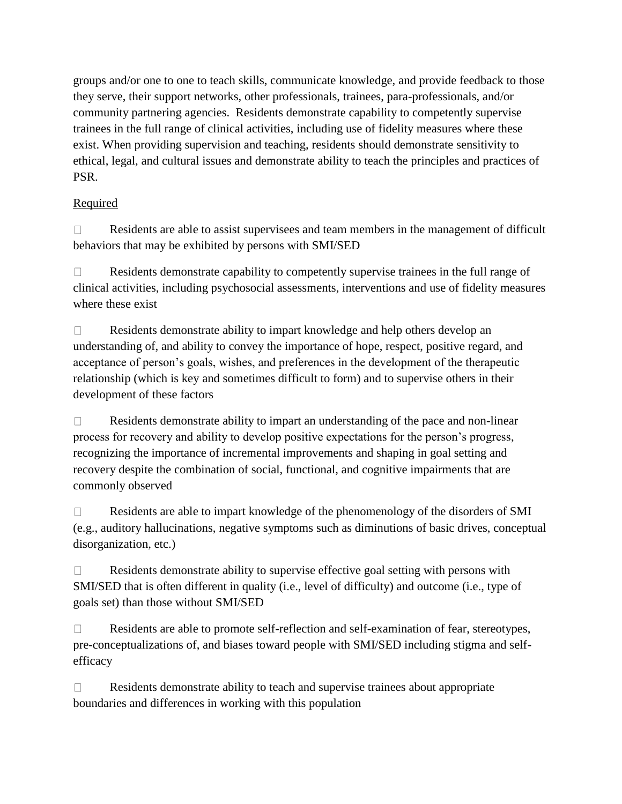groups and/or one to one to teach skills, communicate knowledge, and provide feedback to those they serve, their support networks, other professionals, trainees, para-professionals, and/or community partnering agencies. Residents demonstrate capability to competently supervise trainees in the full range of clinical activities, including use of fidelity measures where these exist. When providing supervision and teaching, residents should demonstrate sensitivity to ethical, legal, and cultural issues and demonstrate ability to teach the principles and practices of PSR.

## Required

 $\Box$ Residents are able to assist supervisees and team members in the management of difficult behaviors that may be exhibited by persons with SMI/SED

Residents demonstrate capability to competently supervise trainees in the full range of  $\Box$ clinical activities, including psychosocial assessments, interventions and use of fidelity measures where these exist

 $\Box$ Residents demonstrate ability to impart knowledge and help others develop an understanding of, and ability to convey the importance of hope, respect, positive regard, and acceptance of person's goals, wishes, and preferences in the development of the therapeutic relationship (which is key and sometimes difficult to form) and to supervise others in their development of these factors

Residents demonstrate ability to impart an understanding of the pace and non-linear  $\Box$ process for recovery and ability to develop positive expectations for the person's progress, recognizing the importance of incremental improvements and shaping in goal setting and recovery despite the combination of social, functional, and cognitive impairments that are commonly observed

Residents are able to impart knowledge of the phenomenology of the disorders of SMI  $\Box$ (e.g., auditory hallucinations, negative symptoms such as diminutions of basic drives, conceptual disorganization, etc.)

Residents demonstrate ability to supervise effective goal setting with persons with  $\Box$ SMI/SED that is often different in quality (i.e., level of difficulty) and outcome (i.e., type of goals set) than those without SMI/SED

Residents are able to promote self-reflection and self-examination of fear, stereotypes,  $\Box$ pre-conceptualizations of, and biases toward people with SMI/SED including stigma and selfefficacy

Residents demonstrate ability to teach and supervise trainees about appropriate  $\Box$ boundaries and differences in working with this population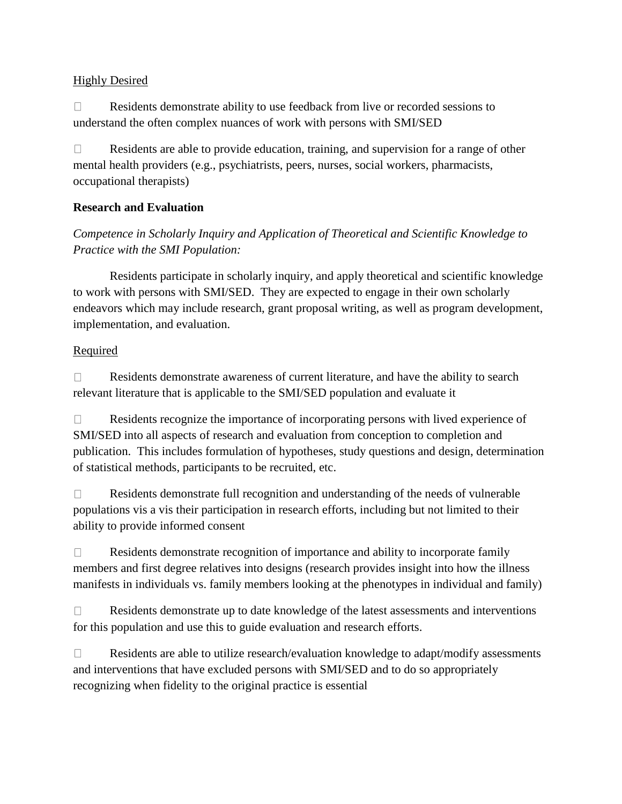### **Highly Desired**

 $\Box$ Residents demonstrate ability to use feedback from live or recorded sessions to understand the often complex nuances of work with persons with SMI/SED

 $\Box$ Residents are able to provide education, training, and supervision for a range of other mental health providers (e.g., psychiatrists, peers, nurses, social workers, pharmacists, occupational therapists)

## **Research and Evaluation**

# *Competence in Scholarly Inquiry and Application of Theoretical and Scientific Knowledge to Practice with the SMI Population:*

Residents participate in scholarly inquiry, and apply theoretical and scientific knowledge to work with persons with SMI/SED. They are expected to engage in their own scholarly endeavors which may include research, grant proposal writing, as well as program development, implementation, and evaluation.

## **Required**

Residents demonstrate awareness of current literature, and have the ability to search  $\Box$ relevant literature that is applicable to the SMI/SED population and evaluate it

Residents recognize the importance of incorporating persons with lived experience of  $\Box$ SMI/SED into all aspects of research and evaluation from conception to completion and publication. This includes formulation of hypotheses, study questions and design, determination of statistical methods, participants to be recruited, etc.

 $\Box$ Residents demonstrate full recognition and understanding of the needs of vulnerable populations vis a vis their participation in research efforts, including but not limited to their ability to provide informed consent

 $\Box$ Residents demonstrate recognition of importance and ability to incorporate family members and first degree relatives into designs (research provides insight into how the illness manifests in individuals vs. family members looking at the phenotypes in individual and family)

 $\Box$ Residents demonstrate up to date knowledge of the latest assessments and interventions for this population and use this to guide evaluation and research efforts.

 $\Box$ Residents are able to utilize research/evaluation knowledge to adapt/modify assessments and interventions that have excluded persons with SMI/SED and to do so appropriately recognizing when fidelity to the original practice is essential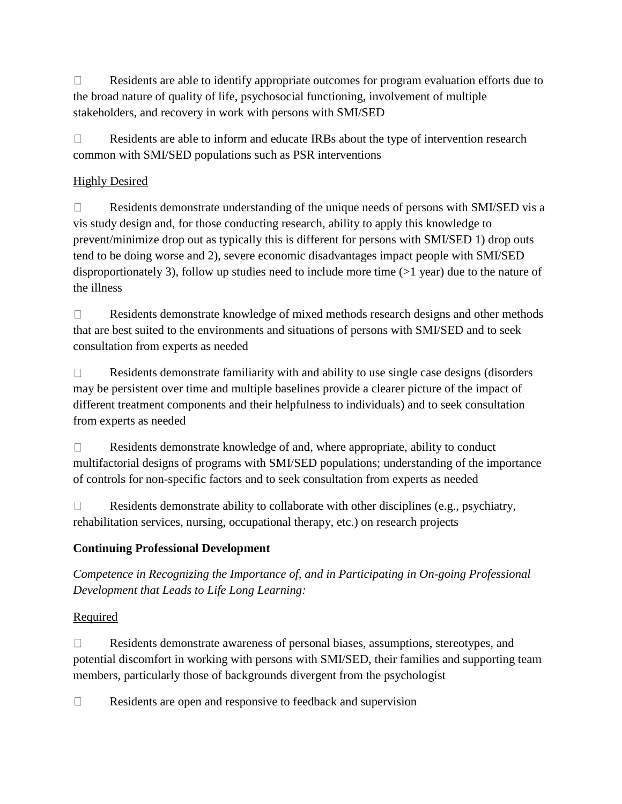$\Box$ Residents are able to identify appropriate outcomes for program evaluation efforts due to the broad nature of quality of life, psychosocial functioning, involvement of multiple stakeholders, and recovery in work with persons with SMI/SED

 $\Box$ Residents are able to inform and educate IRBs about the type of intervention research common with SMI/SED populations such as PSR interventions

## Highly Desired

Residents demonstrate understanding of the unique needs of persons with SMI/SED vis a  $\Box$ vis study design and, for those conducting research, ability to apply this knowledge to prevent/minimize drop out as typically this is different for persons with SMI/SED 1) drop outs tend to be doing worse and 2), severe economic disadvantages impact people with SMI/SED disproportionately 3), follow up studies need to include more time (>1 year) due to the nature of the illness

Residents demonstrate knowledge of mixed methods research designs and other methods  $\Box$ that are best suited to the environments and situations of persons with SMI/SED and to seek consultation from experts as needed

 $\Box$ Residents demonstrate familiarity with and ability to use single case designs (disorders may be persistent over time and multiple baselines provide a clearer picture of the impact of different treatment components and their helpfulness to individuals) and to seek consultation from experts as needed

Residents demonstrate knowledge of and, where appropriate, ability to conduct  $\Box$ multifactorial designs of programs with SMI/SED populations; understanding of the importance of controls for non-specific factors and to seek consultation from experts as needed

 $\Box$ Residents demonstrate ability to collaborate with other disciplines (e.g., psychiatry, rehabilitation services, nursing, occupational therapy, etc.) on research projects

# **Continuing Professional Development**

*Competence in Recognizing the Importance of, and in Participating in On-going Professional Development that Leads to Life Long Learning:* 

## Required

 $\Box$ Residents demonstrate awareness of personal biases, assumptions, stereotypes, and potential discomfort in working with persons with SMI/SED, their families and supporting team members, particularly those of backgrounds divergent from the psychologist

 $\Box$ Residents are open and responsive to feedback and supervision